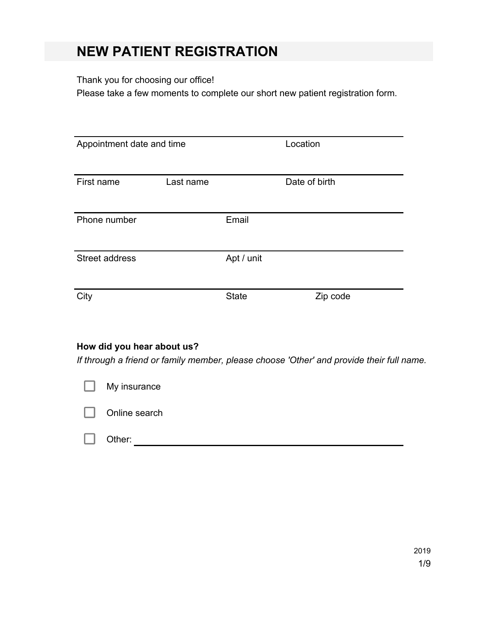# **NEW PATIENT REGISTRATION**

## Thank you for choosing our office!

Please take a few moments to complete our short new patient registration form.

| Appointment date and time |           |              | Location      |
|---------------------------|-----------|--------------|---------------|
| First name                | Last name |              | Date of birth |
| Phone number              |           | Email        |               |
| Street address            |           | Apt / unit   |               |
| City                      |           | <b>State</b> | Zip code      |

### **How did you hear about us?**

*If through a friend or family member, please choose 'Other' and provide their full name.*

| L. | My insurance  |
|----|---------------|
| L. | Online search |
|    | Other:        |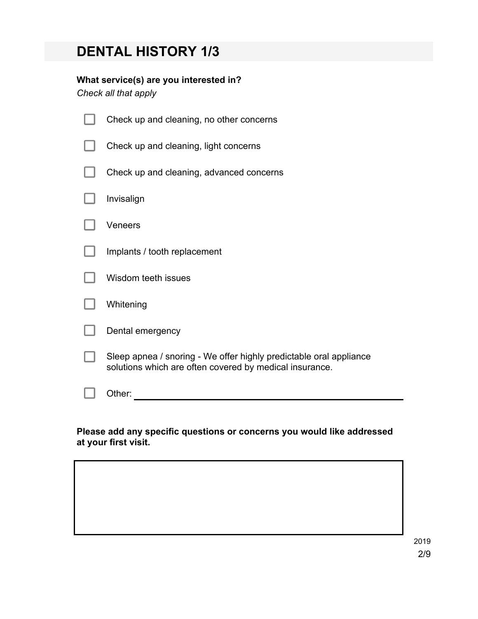# **DENTAL HISTORY 1/3**

## **What service(s) are you interested in?**

*Check all that apply*

| Check up and cleaning, no other concerns                                                                                      |
|-------------------------------------------------------------------------------------------------------------------------------|
| Check up and cleaning, light concerns                                                                                         |
| Check up and cleaning, advanced concerns                                                                                      |
| Invisalign                                                                                                                    |
| Veneers                                                                                                                       |
| Implants / tooth replacement                                                                                                  |
| Wisdom teeth issues                                                                                                           |
| Whitening                                                                                                                     |
| Dental emergency                                                                                                              |
| Sleep apnea / snoring - We offer highly predictable oral appliance<br>solutions which are often covered by medical insurance. |
| Other:                                                                                                                        |

### **Please add any specific questions or concerns you would like addressed at your first visit.**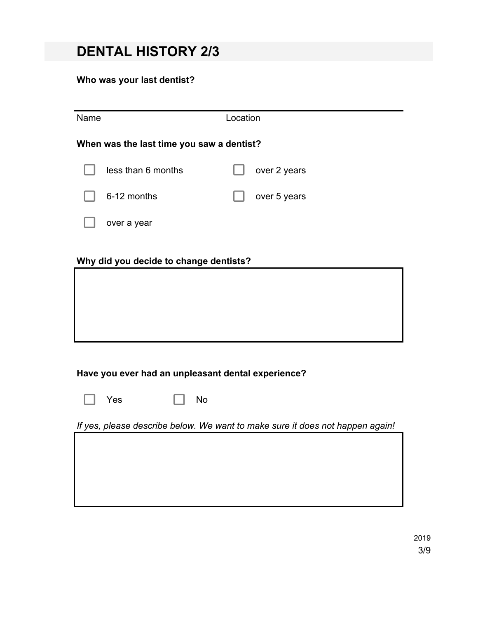# **DENTAL HISTORY 2/3**

## **Who was your last dentist?**

| Name | Location                                           |  |                                                                               |  |  |  |
|------|----------------------------------------------------|--|-------------------------------------------------------------------------------|--|--|--|
|      | When was the last time you saw a dentist?          |  |                                                                               |  |  |  |
|      | less than 6 months                                 |  | over 2 years                                                                  |  |  |  |
|      | 6-12 months                                        |  | over 5 years                                                                  |  |  |  |
|      | over a year                                        |  |                                                                               |  |  |  |
|      | Why did you decide to change dentists?             |  |                                                                               |  |  |  |
|      |                                                    |  |                                                                               |  |  |  |
|      |                                                    |  |                                                                               |  |  |  |
|      |                                                    |  |                                                                               |  |  |  |
|      | Have you ever had an unpleasant dental experience? |  |                                                                               |  |  |  |
|      | <b>No</b><br>Yes                                   |  |                                                                               |  |  |  |
|      |                                                    |  | If yes, please describe below. We want to make sure it does not happen again! |  |  |  |

2019 3/9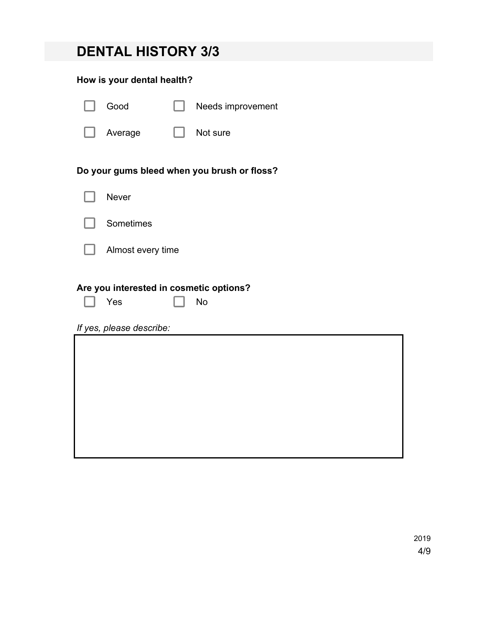|  | <b>DENTAL HISTORY 3/3</b> |  |
|--|---------------------------|--|
|--|---------------------------|--|

## **How is your dental health?**

| Good                                                                       | Needs improvement                           |
|----------------------------------------------------------------------------|---------------------------------------------|
| Average                                                                    | Not sure                                    |
|                                                                            | Do your gums bleed when you brush or floss? |
| <b>Never</b>                                                               |                                             |
| Sometimes                                                                  |                                             |
| Almost every time                                                          |                                             |
| Are you interested in cosmetic options?<br>Yes<br>If yes, please describe: | <b>No</b>                                   |
|                                                                            |                                             |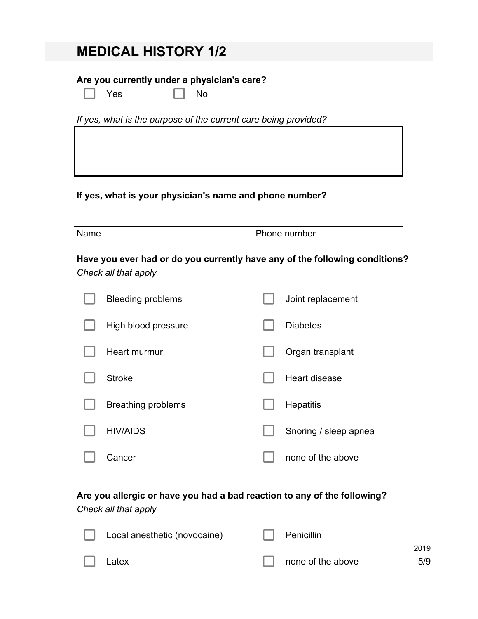# **MEDICAL HISTORY 1/2**

## **Are you currently under a physician's care?**

| . . |  |
|-----|--|
|-----|--|

No

*If yes, what is the purpose of the current care being provided?*

## **If yes, what is your physician's name and phone number?**

| Name |                                                                                                     | Phone number |                       |  |
|------|-----------------------------------------------------------------------------------------------------|--------------|-----------------------|--|
|      | Have you ever had or do you currently have any of the following conditions?<br>Check all that apply |              |                       |  |
|      | <b>Bleeding problems</b>                                                                            |              | Joint replacement     |  |
|      | High blood pressure                                                                                 |              | <b>Diabetes</b>       |  |
|      | Heart murmur                                                                                        |              | Organ transplant      |  |
|      | <b>Stroke</b>                                                                                       |              | Heart disease         |  |
|      | <b>Breathing problems</b>                                                                           |              | <b>Hepatitis</b>      |  |
|      | <b>HIV/AIDS</b>                                                                                     |              | Snoring / sleep apnea |  |
|      | Cancer                                                                                              |              | none of the above     |  |

## **Are you allergic or have you had a bad reaction to any of the following?**

*Check all that apply*

| Local anesthetic (novocaine) | Penicillin               |      |
|------------------------------|--------------------------|------|
|                              |                          | 2019 |
| $\Box$ Latex                 | $\Box$ none of the above | 5/9  |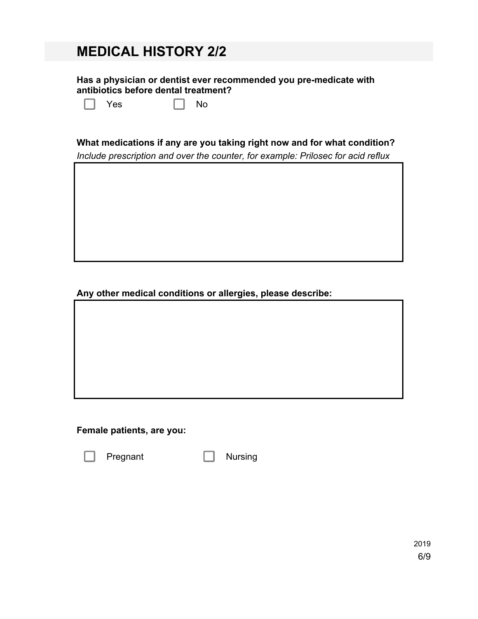# **MEDICAL HISTORY 2/2**

**Has a physician or dentist ever recommended you pre-medicate with antibiotics before dental treatment?**

 $Yes \t\t \Box No$ 

### **What medications if any are you taking right now and for what condition?**

*Include prescription and over the counter, for example: Prilosec for acid reflux*

**Any other medical conditions or allergies, please describe:**

### **Female patients, are you:**

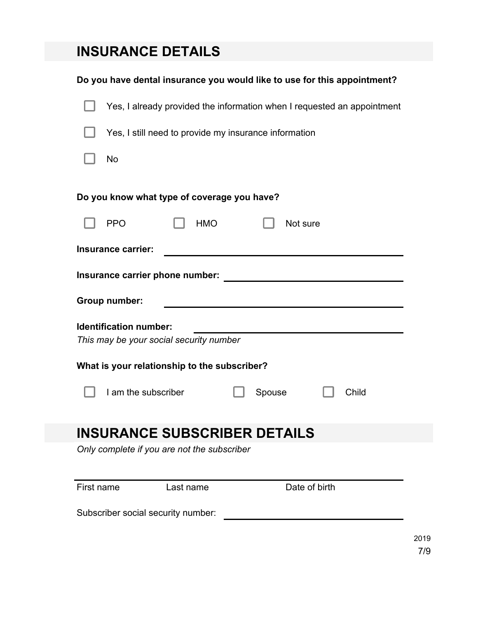# **INSURANCE DETAILS**

| Do you have dental insurance you would like to use for this appointment? |  |  |  |  |  |  |
|--------------------------------------------------------------------------|--|--|--|--|--|--|
| Yes, I already provided the information when I requested an appointment  |  |  |  |  |  |  |
| Yes, I still need to provide my insurance information                    |  |  |  |  |  |  |
| No                                                                       |  |  |  |  |  |  |
| Do you know what type of coverage you have?                              |  |  |  |  |  |  |
| <b>PPO</b><br><b>HMO</b><br>Not sure                                     |  |  |  |  |  |  |
| Insurance carrier:                                                       |  |  |  |  |  |  |
|                                                                          |  |  |  |  |  |  |
| Group number:                                                            |  |  |  |  |  |  |
| <b>Identification number:</b><br>This may be your social security number |  |  |  |  |  |  |
| What is your relationship to the subscriber?                             |  |  |  |  |  |  |
| I am the subscriber<br>Spouse<br>Child                                   |  |  |  |  |  |  |
| <b>INSURANCE SUBSCRIBER DETAILS</b>                                      |  |  |  |  |  |  |
| Only complete if you are not the subscriber                              |  |  |  |  |  |  |
| Date of birth<br>First name<br>Last name                                 |  |  |  |  |  |  |
| Subscriber social security number:                                       |  |  |  |  |  |  |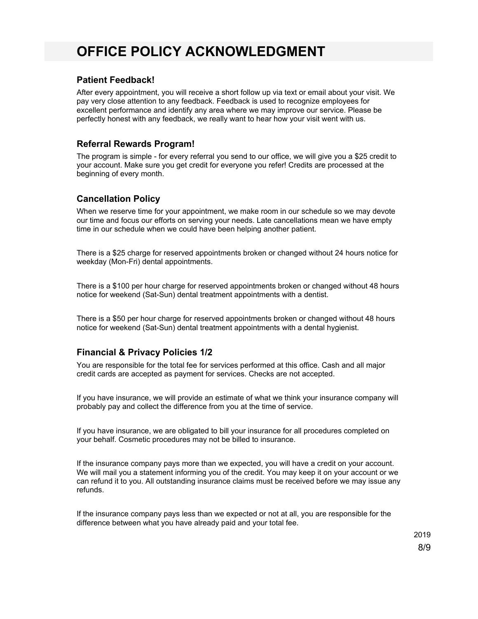# **OFFICE POLICY ACKNOWLEDGMENT**

#### **Patient Feedback!**

After every appointment, you will receive a short follow up via text or email about your visit. We pay very close attention to any feedback. Feedback is used to recognize employees for excellent performance and identify any area where we may improve our service. Please be perfectly honest with any feedback, we really want to hear how your visit went with us.

#### **Referral Rewards Program!**

The program is simple - for every referral you send to our office, we will give you a \$25 credit to your account. Make sure you get credit for everyone you refer! Credits are processed at the beginning of every month.

### **Cancellation Policy**

When we reserve time for your appointment, we make room in our schedule so we may devote our time and focus our efforts on serving your needs. Late cancellations mean we have empty time in our schedule when we could have been helping another patient.

There is a \$25 charge for reserved appointments broken or changed without 24 hours notice for weekday (Mon-Fri) dental appointments.

There is a \$100 per hour charge for reserved appointments broken or changed without 48 hours notice for weekend (Sat-Sun) dental treatment appointments with a dentist.

There is a \$50 per hour charge for reserved appointments broken or changed without 48 hours notice for weekend (Sat-Sun) dental treatment appointments with a dental hygienist.

### **Financial & Privacy Policies 1/2**

You are responsible for the total fee for services performed at this office. Cash and all major credit cards are accepted as payment for services. Checks are not accepted.

If you have insurance, we will provide an estimate of what we think your insurance company will probably pay and collect the difference from you at the time of service.

If you have insurance, we are obligated to bill your insurance for all procedures completed on your behalf. Cosmetic procedures may not be billed to insurance.

If the insurance company pays more than we expected, you will have a credit on your account. We will mail you a statement informing you of the credit. You may keep it on your account or we can refund it to you. All outstanding insurance claims must be received before we may issue any refunds.

If the insurance company pays less than we expected or not at all, you are responsible for the difference between what you have already paid and your total fee.

2019

8/9